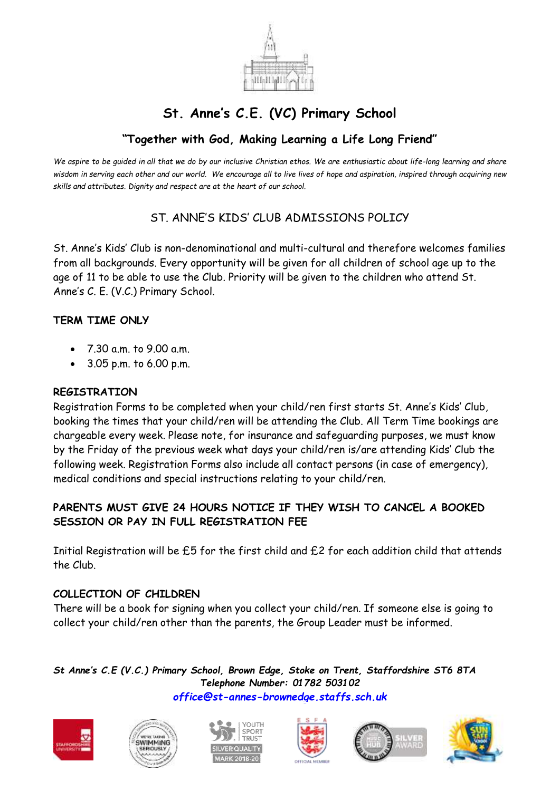

# **St. Anne's C.E. (VC) Primary School**

## **"Together with God, Making Learning a Life Long Friend"**

*We aspire to be guided in all that we do by our inclusive Christian ethos. We are enthusiastic about life-long learning and share wisdom in serving each other and our world. We encourage all to live lives of hope and aspiration, inspired through acquiring new skills and attributes. Dignity and respect are at the heart of our school.*

## ST. ANNE'S KIDS' CLUB ADMISSIONS POLICY

St. Anne's Kids' Club is non-denominational and multi-cultural and therefore welcomes families from all backgrounds. Every opportunity will be given for all children of school age up to the age of 11 to be able to use the Club. Priority will be given to the children who attend St. Anne's C. E. (V.C.) Primary School.

#### **TERM TIME ONLY**

- 7.30 a.m. to 9.00 a.m.
- 3.05 p.m. to 6.00 p.m.

#### **REGISTRATION**

Registration Forms to be completed when your child/ren first starts St. Anne's Kids' Club, booking the times that your child/ren will be attending the Club. All Term Time bookings are chargeable every week. Please note, for insurance and safeguarding purposes, we must know by the Friday of the previous week what days your child/ren is/are attending Kids' Club the following week. Registration Forms also include all contact persons (in case of emergency), medical conditions and special instructions relating to your child/ren.

### **PARENTS MUST GIVE 24 HOURS NOTICE IF THEY WISH TO CANCEL A BOOKED SESSION OR PAY IN FULL REGISTRATION FEE**

Initial Registration will be £5 for the first child and £2 for each addition child that attends the Club.

#### **COLLECTION OF CHILDREN**

There will be a book for signing when you collect your child/ren. If someone else is going to collect your child/ren other than the parents, the Group Leader must be informed.

*St Anne's C.E (V.C.) Primary School, Brown Edge, Stoke on Trent, Staffordshire ST6 8TA Telephone Number: 01782 503102 [office@st-annes-brownedge.staffs.sch.uk](mailto:office@st-annes-brownedge.staffs.sch.uk)*